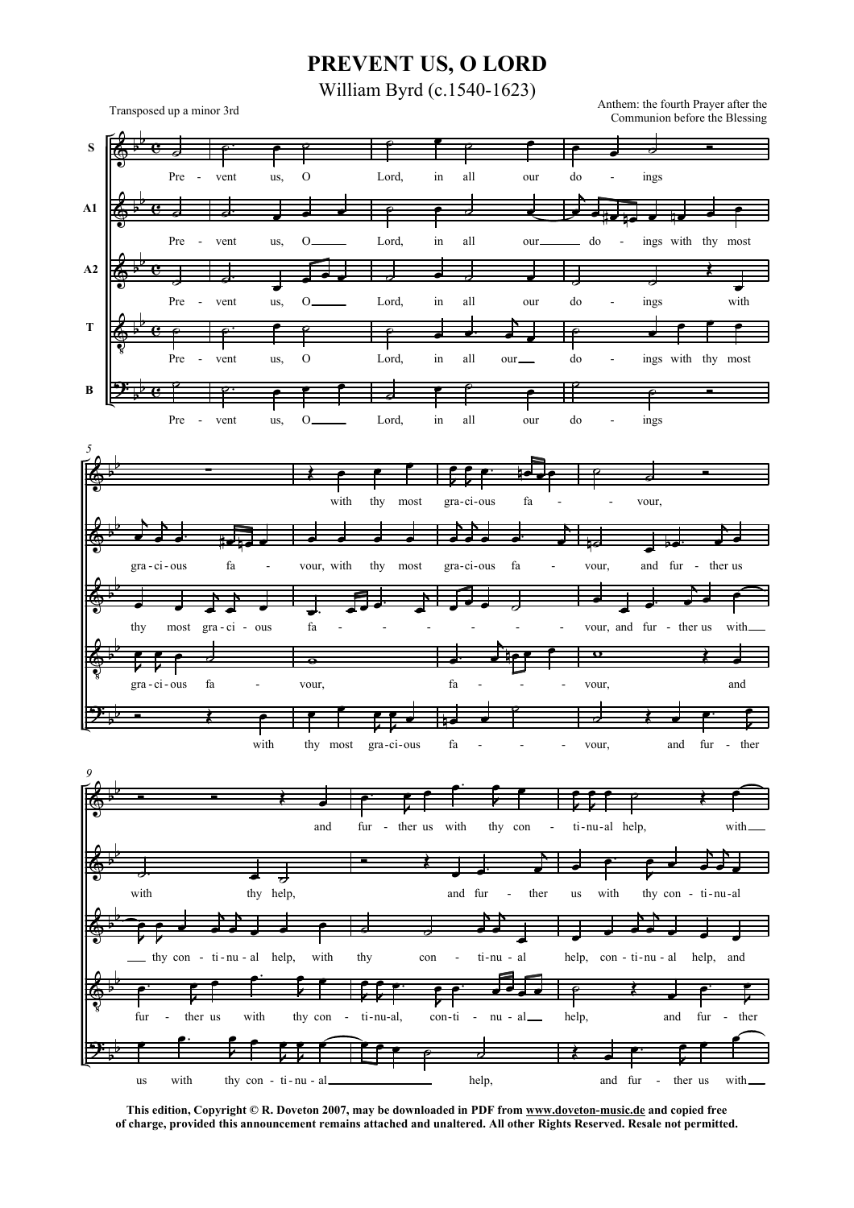## PREVENT US, O LORD

William Byrd (c.1540-1623)

Transposed up a minor 3rd

Anthem: the fourth Prayer after the Communion before the Blessing



This edition, Copyright © R. Doveton 2007, may be downloaded in PDF from www.doveton-music.de and copied free of charge, provided this announcement remains attached and unaltered. All other Rights Reserved. Resale not permitted.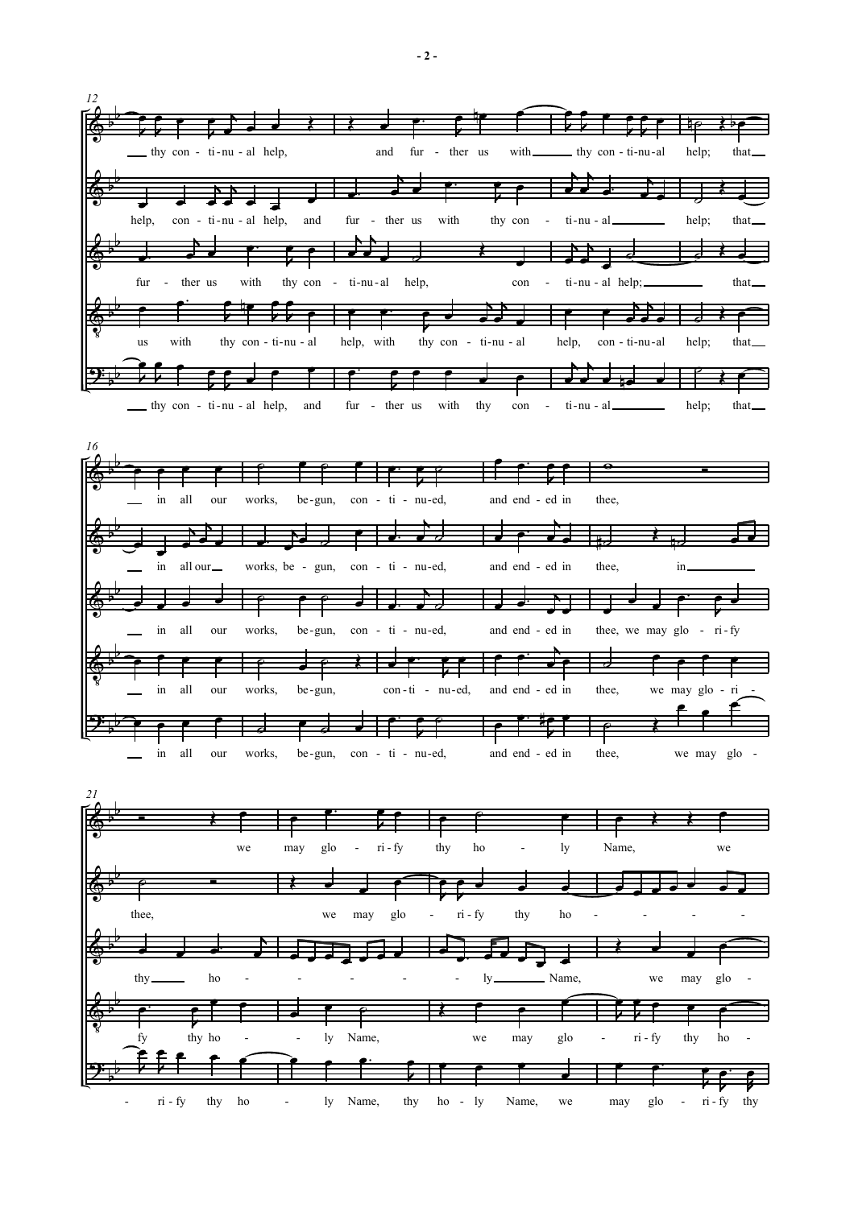